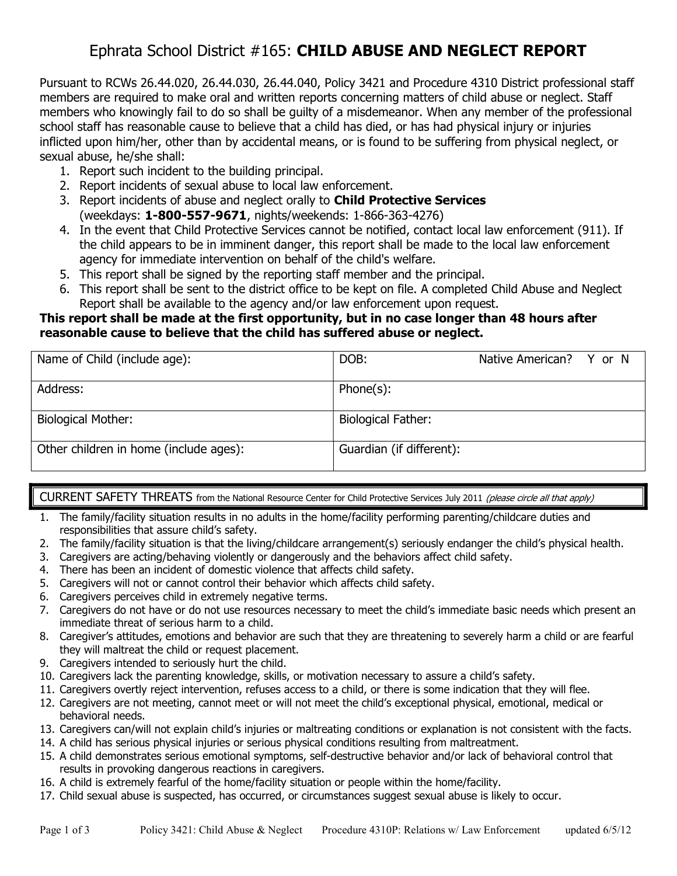# Ephrata School District #165: CHILD ABUSE AND NEGLECT REPORT

Pursuant to RCWs 26.44.020, 26.44.030, 26.44.040, Policy 3421 and Procedure 4310 District professional staff members are required to make oral and written reports concerning matters of child abuse or neglect. Staff members who knowingly fail to do so shall be guilty of a misdemeanor. When any member of the professional school staff has reasonable cause to believe that a child has died, or has had physical injury or injuries inflicted upon him/her, other than by accidental means, or is found to be suffering from physical neglect, or sexual abuse, he/she shall:

- 1. Report such incident to the building principal.
- 2. Report incidents of sexual abuse to local law enforcement.
- 3. Report incidents of abuse and neglect orally to **Child Protective Services** (weekdays: 1-800-557-9671, nights/weekends: 1-866-363-4276)
- 4. In the event that Child Protective Services cannot be notified, contact local law enforcement (911). If the child appears to be in imminent danger, this report shall be made to the local law enforcement agency for immediate intervention on behalf of the child's welfare.
- 5. This report shall be signed by the reporting staff member and the principal.
- 6. This report shall be sent to the district office to be kept on file. A completed Child Abuse and Neglect Report shall be available to the agency and/or law enforcement upon request.

#### This report shall be made at the first opportunity, but in no case longer than 48 hours after reasonable cause to believe that the child has suffered abuse or neglect.

| Name of Child (include age):           | DOB:                      | Native American? Y or N |  |
|----------------------------------------|---------------------------|-------------------------|--|
| Address:                               | $Phone(s)$ :              |                         |  |
| <b>Biological Mother:</b>              | <b>Biological Father:</b> |                         |  |
| Other children in home (include ages): | Guardian (if different):  |                         |  |

#### CURRENT SAFETY THREATS from the National Resource Center for Child Protective Services July 2011 (please circle all that apply)

- 1. The family/facility situation results in no adults in the home/facility performing parenting/childcare duties and responsibilities that assure child's safety.
- 2. The family/facility situation is that the living/childcare arrangement(s) seriously endanger the child's physical health.
- 3. Caregivers are acting/behaving violently or dangerously and the behaviors affect child safety.
- 4. There has been an incident of domestic violence that affects child safety.
- 5. Caregivers will not or cannot control their behavior which affects child safety.
- 6. Caregivers perceives child in extremely negative terms.
- 7. Caregivers do not have or do not use resources necessary to meet the child's immediate basic needs which present an immediate threat of serious harm to a child.
- 8. Caregiver's attitudes, emotions and behavior are such that they are threatening to severely harm a child or are fearful they will maltreat the child or request placement.
- 9. Caregivers intended to seriously hurt the child.
- 10. Caregivers lack the parenting knowledge, skills, or motivation necessary to assure a child's safety.
- 11. Caregivers overtly reject intervention, refuses access to a child, or there is some indication that they will flee.
- 12. Caregivers are not meeting, cannot meet or will not meet the child's exceptional physical, emotional, medical or behavioral needs.
- 13. Caregivers can/will not explain child's injuries or maltreating conditions or explanation is not consistent with the facts.
- 14. A child has serious physical injuries or serious physical conditions resulting from maltreatment.
- 15. A child demonstrates serious emotional symptoms, self-destructive behavior and/or lack of behavioral control that results in provoking dangerous reactions in caregivers.
- 16. A child is extremely fearful of the home/facility situation or people within the home/facility.
- 17. Child sexual abuse is suspected, has occurred, or circumstances suggest sexual abuse is likely to occur.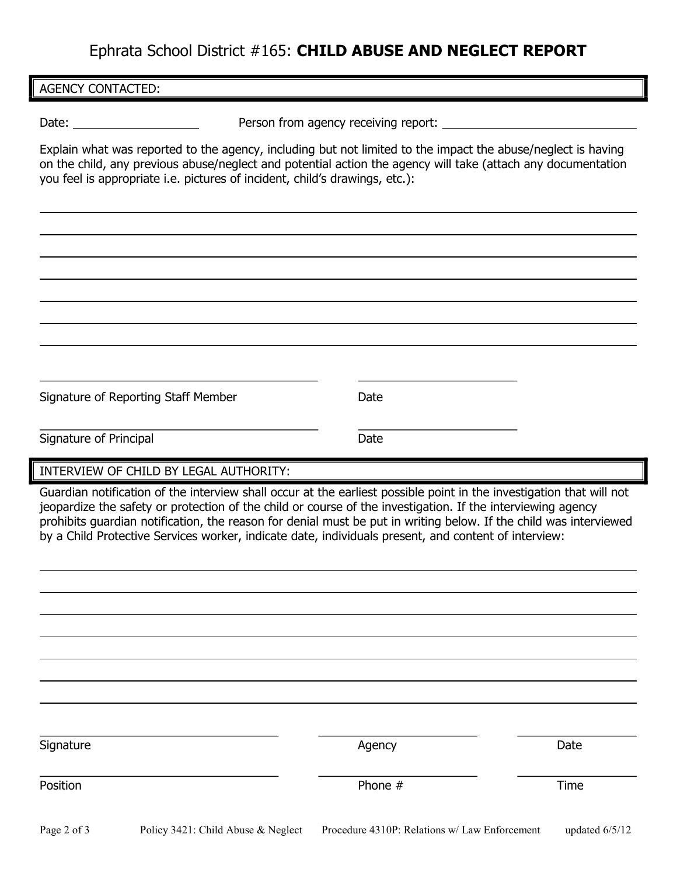## Ephrata School District #165: CHILD ABUSE AND NEGLECT REPORT

 $\overline{\phantom{a}}$ 

 $\overline{a}$ 

 $\overline{a}$ 

 $\overline{\phantom{a}}$ 

Date: example a set of the Person from agency receiving report:

Explain what was reported to the agency, including but not limited to the impact the abuse/neglect is having on the child, any previous abuse/neglect and potential action the agency will take (attach any documentation you feel is appropriate i.e. pictures of incident, child's drawings, etc.):

| Signature of Reporting Staff Member | Date |
|-------------------------------------|------|
|                                     |      |

Signature of Principal Date Date Date

INTERVIEW OF CHILD BY LEGAL AUTHORITY:

Guardian notification of the interview shall occur at the earliest possible point in the investigation that will not jeopardize the safety or protection of the child or course of the investigation. If the interviewing agency prohibits guardian notification, the reason for denial must be put in writing below. If the child was interviewed by a Child Protective Services worker, indicate date, individuals present, and content of interview:

| Signature                              |                                                                                                                                                                                                                                                                                                                               | Agency  | Date |
|----------------------------------------|-------------------------------------------------------------------------------------------------------------------------------------------------------------------------------------------------------------------------------------------------------------------------------------------------------------------------------|---------|------|
| Position                               |                                                                                                                                                                                                                                                                                                                               | Phone # | Time |
| $\mathbf{a}$ $\mathbf{b}$ $\mathbf{c}$ | $\mathbf{D}^{-1}$ $\mathbf{A}^{1}$ $\mathbf{A}^{1}$ $\mathbf{A}^{1}$ $\mathbf{A}^{1}$ $\mathbf{A}^{1}$ $\mathbf{A}^{1}$ $\mathbf{A}^{1}$ $\mathbf{A}^{1}$ $\mathbf{A}^{1}$ $\mathbf{A}^{1}$ $\mathbf{A}^{1}$ $\mathbf{A}^{1}$ $\mathbf{A}^{1}$ $\mathbf{A}^{1}$ $\mathbf{A}^{1}$ $\mathbf{A}^{1}$ $\mathbf{A}^{1}$ $\mathbf{$ |         |      |